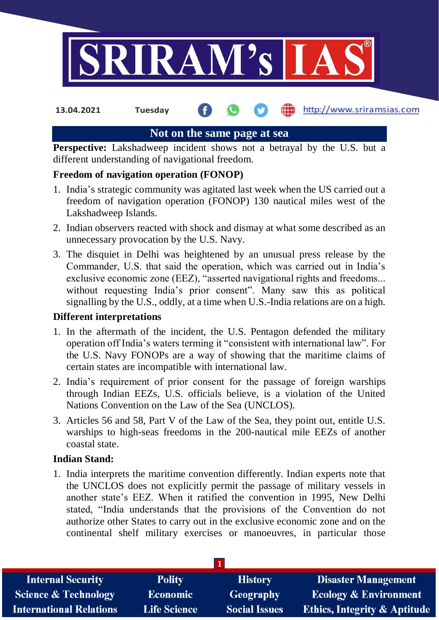

**13.04.2021 Tuesday**

## http://www.sriramsias.com

# **Not on the same page at sea**

**Perspective:** Lakshadweep incident shows not a betrayal by the U.S. but a different understanding of navigational freedom.

## **Freedom of navigation operation (FONOP)**

- 1. India's strategic community was agitated last week when the US carried out a freedom of navigation operation (FONOP) 130 nautical miles west of the Lakshadweep Islands.
- 2. Indian observers reacted with shock and dismay at what some described as an unnecessary provocation by the U.S. Navy.
- 3. The disquiet in Delhi was heightened by an unusual press release by the Commander, U.S. that said the operation, which was carried out in India's exclusive economic zone (EEZ), "asserted navigational rights and freedoms... without requesting India's prior consent". Many saw this as political signalling by the U.S., oddly, at a time when U.S.-India relations are on a high.

## **Different interpretations**

- 1. In the aftermath of the incident, the U.S. Pentagon defended the military operation off India's waters terming it "consistent with international law". For the U.S. Navy FONOPs are a way of showing that the maritime claims of certain states are incompatible with international law.
- 2. India's requirement of prior consent for the passage of foreign warships through Indian EEZs, U.S. officials believe, is a violation of the United Nations Convention on the Law of the Sea (UNCLOS).
- 3. Articles 56 and 58, Part V of the Law of the Sea, they point out, entitle U.S. warships to high-seas freedoms in the 200-nautical mile EEZs of another coastal state.

## **Indian Stand:**

1. India interprets the maritime convention differently. Indian experts note that the UNCLOS does not explicitly permit the passage of military vessels in another state's EEZ. When it ratified the convention in 1995, New Delhi stated, "India understands that the provisions of the Convention do not authorize other States to carry out in the exclusive economic zone and on the continental shelf military exercises or manoeuvres, in particular those

| <b>Internal Security</b>        | <b>Polity</b>       | <b>History</b>       | <b>Disaster Management</b>              |
|---------------------------------|---------------------|----------------------|-----------------------------------------|
| <b>Science &amp; Technology</b> | <b>Economic</b>     | <b>Geography</b>     | <b>Ecology &amp; Environment</b>        |
| <b>International Relations</b>  | <b>Life Science</b> | <b>Social Issues</b> | <b>Ethics, Integrity &amp; Aptitude</b> |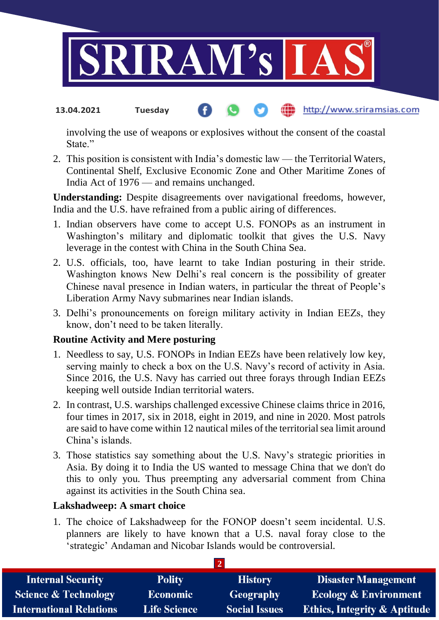

#### http://www.sriramsias.com **13.04.2021 Tuesday**

involving the use of weapons or explosives without the consent of the coastal State."

2. This position is consistent with India's domestic law — the Territorial Waters, Continental Shelf, Exclusive Economic Zone and Other Maritime Zones of India Act of 1976 — and remains unchanged.

**Understanding:** Despite disagreements over navigational freedoms, however, India and the U.S. have refrained from a public airing of differences.

- 1. Indian observers have come to accept U.S. FONOPs as an instrument in Washington's military and diplomatic toolkit that gives the U.S. Navy leverage in the contest with China in the South China Sea.
- 2. U.S. officials, too, have learnt to take Indian posturing in their stride. Washington knows New Delhi's real concern is the possibility of greater Chinese naval presence in Indian waters, in particular the threat of People's Liberation Army Navy submarines near Indian islands.
- 3. Delhi's pronouncements on foreign military activity in Indian EEZs, they know, don't need to be taken literally.

## **Routine Activity and Mere posturing**

- 1. Needless to say, U.S. FONOPs in Indian EEZs have been relatively low key, serving mainly to check a box on the U.S. Navy's record of activity in Asia. Since 2016, the U.S. Navy has carried out three forays through Indian EEZs keeping well outside Indian territorial waters.
- 2. In contrast, U.S. warships challenged excessive Chinese claims thrice in 2016, four times in 2017, six in 2018, eight in 2019, and nine in 2020. Most patrols are said to have come within 12 nautical miles of the territorial sea limit around China's islands.
- 3. Those statistics say something about the U.S. Navy's strategic priorities in Asia. By doing it to India the US wanted to message China that we don't do this to only you. Thus preempting any adversarial comment from China against its activities in the South China sea.

## **Lakshadweep: A smart choice**

1. The choice of Lakshadweep for the FONOP doesn't seem incidental. U.S. planners are likely to have known that a U.S. naval foray close to the 'strategic' Andaman and Nicobar Islands would be controversial.

| <b>Internal Security</b>        | <b>Polity</b>       | <b>History</b>       | <b>Disaster Management</b>              |
|---------------------------------|---------------------|----------------------|-----------------------------------------|
| <b>Science &amp; Technology</b> | <b>Economic</b>     | Geography            | <b>Ecology &amp; Environment</b>        |
| <b>International Relations</b>  | <b>Life Science</b> | <b>Social Issues</b> | <b>Ethics, Integrity &amp; Aptitude</b> |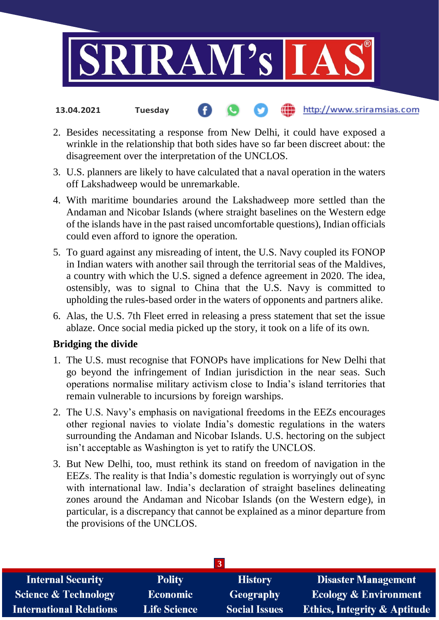

#### http://www.sriramsias.com **13.04.2021 Tuesday**

- 2. Besides necessitating a response from New Delhi, it could have exposed a wrinkle in the relationship that both sides have so far been discreet about: the disagreement over the interpretation of the UNCLOS.
- 3. U.S. planners are likely to have calculated that a naval operation in the waters off Lakshadweep would be unremarkable.
- 4. With maritime boundaries around the Lakshadweep more settled than the Andaman and Nicobar Islands (where straight baselines on the Western edge of the islands have in the past raised uncomfortable questions), Indian officials could even afford to ignore the operation.
- 5. To guard against any misreading of intent, the U.S. Navy coupled its FONOP in Indian waters with another sail through the territorial seas of the Maldives, a country with which the U.S. signed a defence agreement in 2020. The idea, ostensibly, was to signal to China that the U.S. Navy is committed to upholding the rules-based order in the waters of opponents and partners alike.
- 6. Alas, the U.S. 7th Fleet erred in releasing a press statement that set the issue ablaze. Once social media picked up the story, it took on a life of its own.

## **Bridging the divide**

- 1. The U.S. must recognise that FONOPs have implications for New Delhi that go beyond the infringement of Indian jurisdiction in the near seas. Such operations normalise military activism close to India's island territories that remain vulnerable to incursions by foreign warships.
- 2. The U.S. Navy's emphasis on navigational freedoms in the EEZs encourages other regional navies to violate India's domestic regulations in the waters surrounding the Andaman and Nicobar Islands. U.S. hectoring on the subject isn't acceptable as Washington is yet to ratify the UNCLOS.
- 3. But New Delhi, too, must rethink its stand on freedom of navigation in the EEZs. The reality is that India's domestic regulation is worryingly out of sync with international law. India's declaration of straight baselines delineating zones around the Andaman and Nicobar Islands (on the Western edge), in particular, is a discrepancy that cannot be explained as a minor departure from the provisions of the UNCLOS.

| 3                               |                 |                      |                                         |
|---------------------------------|-----------------|----------------------|-----------------------------------------|
| <b>Internal Security</b>        | <b>Polity</b>   | <b>History</b>       | <b>Disaster Management</b>              |
| <b>Science &amp; Technology</b> | <b>Economic</b> | Geography            | <b>Ecology &amp; Environment</b>        |
| <b>International Relations</b>  | Life Science    | <b>Social Issues</b> | <b>Ethics, Integrity &amp; Aptitude</b> |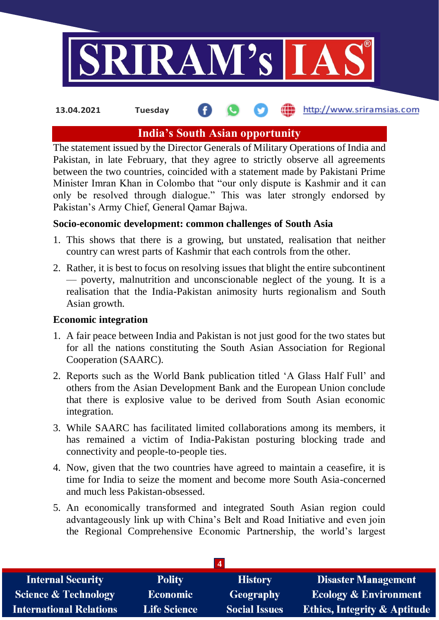

#### the http://www.sriramsias.com **13.04.2021 Tuesday**

# **India's South Asian opportunity**

The statement issued by the Director Generals of Military Operations of India and Pakistan, in late February, that they agree to strictly observe all agreements between the two countries, coincided with a statement made by Pakistani Prime Minister Imran Khan in Colombo that "our only dispute is Kashmir and it can only be resolved through dialogue." This was later strongly endorsed by Pakistan's Army Chief, General Qamar Bajwa.

#### **Socio-economic development: common challenges of South Asia**

- 1. This shows that there is a growing, but unstated, realisation that neither country can wrest parts of Kashmir that each controls from the other.
- 2. Rather, it is best to focus on resolving issues that blight the entire subcontinent — poverty, malnutrition and unconscionable neglect of the young. It is a realisation that the India-Pakistan animosity hurts regionalism and South Asian growth.

#### **Economic integration**

- 1. A fair peace between India and Pakistan is not just good for the two states but for all the nations constituting the South Asian Association for Regional Cooperation (SAARC).
- 2. Reports such as the World Bank publication titled 'A Glass Half Full' and others from the Asian Development Bank and the European Union conclude that there is explosive value to be derived from South Asian economic integration.
- 3. While SAARC has facilitated limited collaborations among its members, it has remained a victim of India-Pakistan posturing blocking trade and connectivity and people-to-people ties.
- 4. Now, given that the two countries have agreed to maintain a ceasefire, it is time for India to seize the moment and become more South Asia-concerned and much less Pakistan-obsessed.
- 5. An economically transformed and integrated South Asian region could advantageously link up with China's Belt and Road Initiative and even join the Regional Comprehensive Economic Partnership, the world's largest

| <b>Internal Security</b>        | <b>Polity</b>       | <b>History</b>       | <b>Disaster Management</b>              |
|---------------------------------|---------------------|----------------------|-----------------------------------------|
| <b>Science &amp; Technology</b> | <b>Economic</b>     | <b>Geography</b>     | <b>Ecology &amp; Environment</b>        |
| <b>International Relations</b>  | <b>Life Science</b> | <b>Social Issues</b> | <b>Ethics, Integrity &amp; Aptitude</b> |